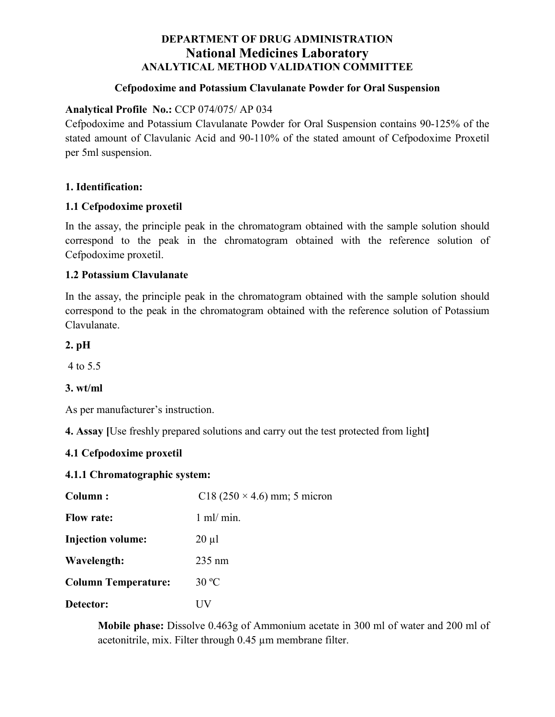# **DEPARTMENT OF DRUG ADMINISTRATION National Medicines Laboratory ANALYTICAL METHOD VALIDATION COMMITTEE**

#### **Cefpodoxime and Potassium Clavulanate Powder for Oral Suspension**

### **Analytical Profile No.:** CCP 074/075/ AP 034

Cefpodoxime and Potassium Clavulanate Powder for Oral Suspension contains 90-125% of the stated amount of Clavulanic Acid and 90-110% of the stated amount of Cefpodoxime Proxetil per 5ml suspension.

#### **1. Identification:**

#### **1.1 Cefpodoxime proxetil**

In the assay, the principle peak in the chromatogram obtained with the sample solution should correspond to the peak in the chromatogram obtained with the reference solution of Cefpodoxime proxetil.

#### **1.2 Potassium Clavulanate**

In the assay, the principle peak in the chromatogram obtained with the sample solution should correspond to the peak in the chromatogram obtained with the reference solution of Potassium Clavulanate.

**2. pH**

4 to 5.5

#### **3. wt/ml**

As per manufacturer's instruction.

**4. Assay [**Use freshly prepared solutions and carry out the test protected from light**]**

### **4.1 Cefpodoxime proxetil**

#### **4.1.1 Chromatographic system:**

| Column:                    | C18 (250 $\times$ 4.6) mm; 5 micron |
|----------------------------|-------------------------------------|
| <b>Flow rate:</b>          | $1 \text{ ml/min}$ .                |
| <b>Injection volume:</b>   | $20 \mu l$                          |
| Wavelength:                | $235 \text{ nm}$                    |
| <b>Column Temperature:</b> | $30^{\circ}$ C                      |
| Detector:                  | UV                                  |

**Mobile phase:** Dissolve 0.463g of Ammonium acetate in 300 ml of water and 200 ml of acetonitrile, mix. Filter through 0.45 µm membrane filter.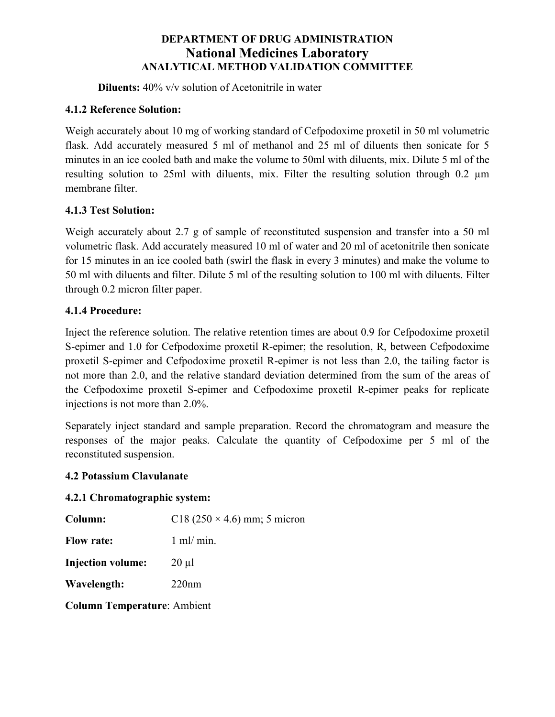# **DEPARTMENT OF DRUG ADMINISTRATION National Medicines Laboratory ANALYTICAL METHOD VALIDATION COMMITTEE**

**Diluents:** 40% v/v solution of Acetonitrile in water

## **4.1.2 Reference Solution:**

Weigh accurately about 10 mg of working standard of Cefpodoxime proxetil in 50 ml volumetric flask. Add accurately measured 5 ml of methanol and 25 ml of diluents then sonicate for 5 minutes in an ice cooled bath and make the volume to 50ml with diluents, mix. Dilute 5 ml of the resulting solution to 25ml with diluents, mix. Filter the resulting solution through 0.2 µm membrane filter.

# **4.1.3 Test Solution:**

Weigh accurately about 2.7 g of sample of reconstituted suspension and transfer into a 50 ml volumetric flask. Add accurately measured 10 ml of water and 20 ml of acetonitrile then sonicate for 15 minutes in an ice cooled bath (swirl the flask in every 3 minutes) and make the volume to 50 ml with diluents and filter. Dilute 5 ml of the resulting solution to 100 ml with diluents. Filter through 0.2 micron filter paper.

# **4.1.4 Procedure:**

Inject the reference solution. The relative retention times are about 0.9 for Cefpodoxime proxetil S-epimer and 1.0 for Cefpodoxime proxetil R-epimer; the resolution, R, between Cefpodoxime proxetil S-epimer and Cefpodoxime proxetil R-epimer is not less than 2.0, the tailing factor is not more than 2.0, and the relative standard deviation determined from the sum of the areas of the Cefpodoxime proxetil S-epimer and Cefpodoxime proxetil R-epimer peaks for replicate injections is not more than 2.0%.

Separately inject standard and sample preparation. Record the chromatogram and measure the responses of the major peaks. Calculate the quantity of Cefpodoxime per 5 ml of the reconstituted suspension.

### **4.2 Potassium Clavulanate**

### **4.2.1 Chromatographic system:**

**Column:**  $C18 (250 \times 4.6)$  mm; 5 micron

**Flow rate:** 1 ml/ min.

**Injection volume:** 20 µl

**Wavelength:** 220nm

**Column Temperature**: Ambient